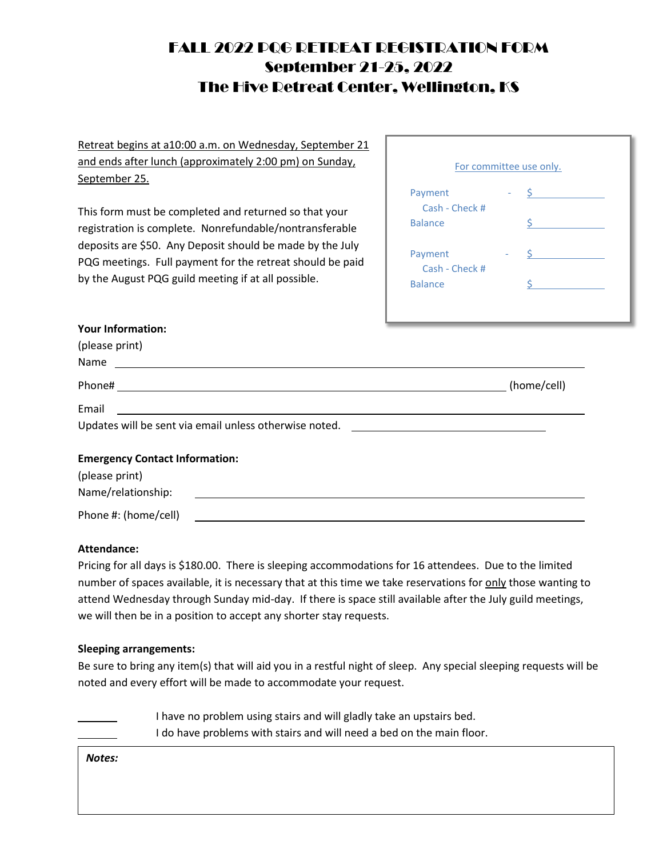# FALL 2022 PQG RETREAT REGISTRATION FORM September 21-25, 2022 The Hive Retreat Center, Wellington, KS

Retreat begins at a10:00 a.m. on Wednesday, September 21 and ends after lunch (approximately 2:00 pm) on Sunday, September 25.

This form must be completed and returned so that your registration is complete. Nonrefundable/nontransferable deposits are \$50. Any Deposit should be made by the July PQG meetings. Full payment for the retreat should be paid by the August PQG guild meeting if at all possible.

| For committee use only. |  |                               |  |  |
|-------------------------|--|-------------------------------|--|--|
| Payment                 |  | $\mathsf{S}$ and $\mathsf{S}$ |  |  |
| Cash - Check #          |  |                               |  |  |
| <b>Balance</b>          |  | ς.                            |  |  |
| Payment                 |  |                               |  |  |
| Cash - Check #          |  |                               |  |  |
| <b>Balance</b>          |  |                               |  |  |

#### **Your Information:**

| (please print)                                                                                                |             |
|---------------------------------------------------------------------------------------------------------------|-------------|
| Name and the state of the state of the state of the state of the state of the state of the state of the state |             |
|                                                                                                               | (home/cell) |
| Email<br><u> 1989 - Johann Barnett, fransk politiker (d. 1989)</u>                                            |             |
| Updates will be sent via email unless otherwise noted. _________________________                              |             |
| <b>Emergency Contact Information:</b>                                                                         |             |
| (please print)                                                                                                |             |
| Name/relationship:                                                                                            |             |
| Phone #: (home/cell)                                                                                          |             |

## **Attendance:**

Pricing for all days is \$180.00. There is sleeping accommodations for 16 attendees. Due to the limited number of spaces available, it is necessary that at this time we take reservations for only those wanting to attend Wednesday through Sunday mid-day. If there is space still available after the July guild meetings, we will then be in a position to accept any shorter stay requests.

## **Sleeping arrangements:**

Be sure to bring any item(s) that will aid you in a restful night of sleep. Any special sleeping requests will be noted and every effort will be made to accommodate your request.

> I have no problem using stairs and will gladly take an upstairs bed. I do have problems with stairs and will need a bed on the main floor.

*Notes:*